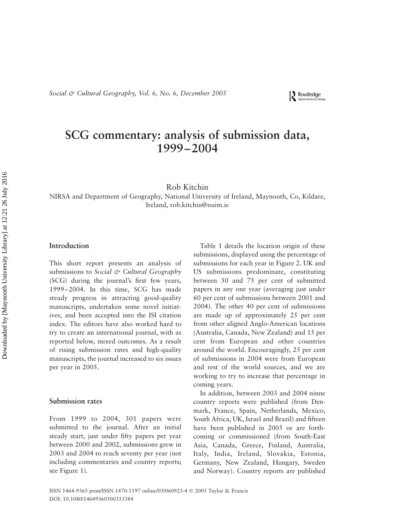Routledge

# SCG commentary: analysis of submission data, 1999–2004

Rob Kitchin

NIRSA and Department of Geography, National University of Ireland, Maynooth, Co, Kildare, Ireland, rob.kitchin@nuim.ie

# Introduction

This short report presents an analysis of submissions to Social & Cultural Geography (SCG) during the journal's first few years, 1999–2004. In this time, SCG has made steady progress in attracting good-quality manuscripts, undertaken some novel initiatives, and been accepted into the ISI citation index. The editors have also worked hard to try to create an international journal, with as reported below, mixed outcomes. As a result of rising submission rates and high-quality manuscripts, the journal increased to six issues per year in 2005.

### Submission rates

From 1999 to 2004, 301 papers were submitted to the journal. After an initial steady start, just under fifty papers per year between 2000 and 2002, submissions grew in 2003 and 2004 to reach seventy per year (not including commentaries and country reports; see Figure 1).

Table 1 details the location origin of these submissions, displayed using the percentage of submissions for each year in Figure 2. UK and US submissions predominate, constituting between 50 and 75 per cent of submitted papers in any one year (averaging just under 60 per cent of submissions between 2001 and 2004). The other 40 per cent of submissions are made up of approximately 25 per cent from other aligned Anglo-American locations (Australia, Canada, New Zealand) and 15 per cent from European and other countries around the world. Encouragingly, 25 per cent of submissions in 2004 were from European and rest of the world sources, and we are working to try to increase that percentage in coming years.

In addition, between 2003 and 2004 ninne country reports were published (from Denmark, France, Spain, Netherlands, Mexico, South Africa, UK, Israel and Brazil) and fifteen have been published in 2005 or are forthcoming or commissioned (from South-East Asia, Canada, Greece, Finland, Australia, Italy, India, Ireland, Slovakia, Estonia, Germany, New Zealand, Hungary, Sweden and Norway). Country reports are published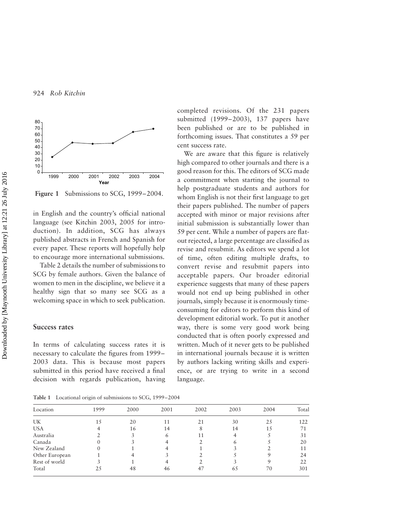

Figure 1 Submissions to SCG, 1999–2004.

in English and the country's official national language (see Kitchin 2003, 2005 for introduction). In addition, SCG has always published abstracts in French and Spanish for every paper. These reports will hopefully help to encourage more international submissions.

Table 2 details the number of submissions to SCG by female authors. Given the balance of women to men in the discipline, we believe it a healthy sign that so many see SCG as a welcoming space in which to seek publication.

# Success rates

In terms of calculating success rates it is necessary to calculate the figures from 1999– 2003 data. This is because most papers submitted in this period have received a final decision with regards publication, having

completed revisions. Of the 231 papers submitted (1999–2003), 137 papers have been published or are to be published in forthcoming issues. That constitutes a 59 per cent success rate.

We are aware that this figure is relatively high compared to other journals and there is a good reason for this. The editors of SCG made a commitment when starting the journal to help postgraduate students and authors for whom English is not their first language to get their papers published. The number of papers accepted with minor or major revisions after initial submission is substantially lower than 59 per cent. While a number of papers are flatout rejected, a large percentage are classified as revise and resubmit. As editors we spend a lot of time, often editing multiple drafts, to convert revise and resubmit papers into acceptable papers. Our broader editorial experience suggests that many of these papers would not end up being published in other journals, simply because it is enormously timeconsuming for editors to perform this kind of development editorial work. To put it another way, there is some very good work being conducted that is often poorly expressed and written. Much of it never gets to be published in international journals because it is written by authors lacking writing skills and experience, or are trying to write in a second language.

Table 1 Locational origin of submissions to SCG, 1999–2004

| Location       | 1999 | 2000 | 2001 | 2002 | 2003 | 2004 | Total |
|----------------|------|------|------|------|------|------|-------|
| UK             | LS   | 20   | 11   | 21   | 30   | 25   | 122   |
| <b>USA</b>     |      | 16   | 14   | 8    | 14   | 15   |       |
| Australia      |      |      | 6    | 11   |      |      | 31    |
| Canada         |      |      |      |      | b    |      | 20    |
| New Zealand    |      |      |      |      |      |      | 11    |
| Other European |      |      |      |      |      | 9    | 24    |
| Rest of world  |      |      |      |      |      | 9    | 22    |
| Total          |      | 48   | 46   | 47   | 65   | 70   | 301   |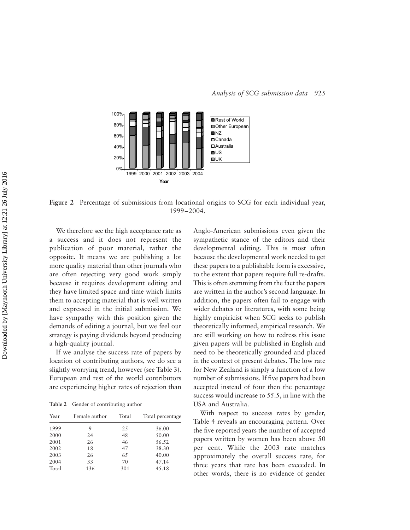

Figure 2 Percentage of submissions from locational origins to SCG for each individual year, 1999–2004.

We therefore see the high acceptance rate as a success and it does not represent the publication of poor material, rather the opposite. It means we are publishing a lot more quality material than other journals who are often rejecting very good work simply because it requires development editing and they have limited space and time which limits them to accepting material that is well written and expressed in the initial submission. We have sympathy with this position given the demands of editing a journal, but we feel our strategy is paying dividends beyond producing a high-quality journal.

If we analyse the success rate of papers by location of contributing authors, we do see a slightly worrying trend, however (see Table 3). European and rest of the world contributors are experiencing higher rates of rejection than

Table 2 Gender of contributing author

| Female author | Total | Total percentage |
|---------------|-------|------------------|
| 9             | 25    | 36.00            |
| 24            | 48    | 50.00            |
| 26            | 46    | 56.52            |
| 18            | 47    | 38.30            |
| 26            | 65    | 40.00            |
| 33            | 70    | 47.14            |
| 136           | 301   | 45.18            |
|               |       |                  |

Anglo-American submissions even given the sympathetic stance of the editors and their developmental editing. This is most often because the developmental work needed to get these papers to a publishable form is excessive, to the extent that papers require full re-drafts. This is often stemming from the fact the papers are written in the author's second language. In addition, the papers often fail to engage with wider debates or literatures, with some being highly empiricist when SCG seeks to publish theoretically informed, empirical research. We are still working on how to redress this issue given papers will be published in English and need to be theoretically grounded and placed in the context of present debates. The low rate for New Zealand is simply a function of a low number of submissions. If five papers had been accepted instead of four then the percentage success would increase to 55.5, in line with the USA and Australia.

With respect to success rates by gender, Table 4 reveals an encouraging pattern. Over the five reported years the number of accepted papers written by women has been above 50 per cent. While the 2003 rate matches approximately the overall success rate, for three years that rate has been exceeded. In other words, there is no evidence of gender